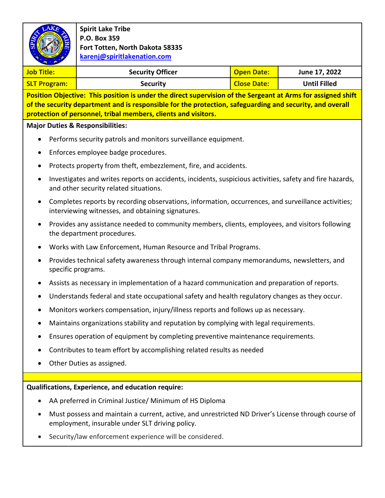|                                                                                                                                                                                                                          | <b>Spirit Lake Tribe</b><br>P.O. Box 359<br>Fort Totten, North Dakota 58335<br>karenj@spiritlakenation.com                                               |                    |                     |  |  |
|--------------------------------------------------------------------------------------------------------------------------------------------------------------------------------------------------------------------------|----------------------------------------------------------------------------------------------------------------------------------------------------------|--------------------|---------------------|--|--|
| <b>Job Title:</b>                                                                                                                                                                                                        | <b>Security Officer</b>                                                                                                                                  | <b>Open Date:</b>  | June 17, 2022       |  |  |
| <b>SLT Program:</b>                                                                                                                                                                                                      | <b>Security</b>                                                                                                                                          | <b>Close Date:</b> | <b>Until Filled</b> |  |  |
| Position Objective: This position is under the direct supervision of the Sergeant at Arms for assigned shift<br>of the security department and is responsible for the protection, safeguarding and security, and overall |                                                                                                                                                          |                    |                     |  |  |
| protection of personnel, tribal members, clients and visitors.                                                                                                                                                           |                                                                                                                                                          |                    |                     |  |  |
| <b>Major Duties &amp; Responsibilities:</b>                                                                                                                                                                              |                                                                                                                                                          |                    |                     |  |  |
| Performs security patrols and monitors surveillance equipment.                                                                                                                                                           |                                                                                                                                                          |                    |                     |  |  |
| Enforces employee badge procedures.<br>٠                                                                                                                                                                                 |                                                                                                                                                          |                    |                     |  |  |
| Protects property from theft, embezzlement, fire, and accidents.                                                                                                                                                         |                                                                                                                                                          |                    |                     |  |  |
| Investigates and writes reports on accidents, incidents, suspicious activities, safety and fire hazards,<br>$\bullet$<br>and other security related situations.                                                          |                                                                                                                                                          |                    |                     |  |  |
|                                                                                                                                                                                                                          | Completes reports by recording observations, information, occurrences, and surveillance activities;<br>interviewing witnesses, and obtaining signatures. |                    |                     |  |  |
|                                                                                                                                                                                                                          | Provides any assistance needed to community members, clients, employees, and visitors following<br>the department procedures.                            |                    |                     |  |  |
|                                                                                                                                                                                                                          | Works with Law Enforcement, Human Resource and Tribal Programs.                                                                                          |                    |                     |  |  |
|                                                                                                                                                                                                                          | Provides technical safety awareness through internal company memorandums, newsletters, and<br>specific programs.                                         |                    |                     |  |  |
|                                                                                                                                                                                                                          | Assists as necessary in implementation of a hazard communication and preparation of reports.                                                             |                    |                     |  |  |
|                                                                                                                                                                                                                          | Understands federal and state occupational safety and health regulatory changes as they occur.                                                           |                    |                     |  |  |
|                                                                                                                                                                                                                          | Monitors workers compensation, injury/illness reports and follows up as necessary.                                                                       |                    |                     |  |  |
|                                                                                                                                                                                                                          | Maintains organizations stability and reputation by complying with legal requirements.                                                                   |                    |                     |  |  |
| ٠                                                                                                                                                                                                                        | Ensures operation of equipment by completing preventive maintenance requirements.                                                                        |                    |                     |  |  |
|                                                                                                                                                                                                                          | Contributes to team effort by accomplishing related results as needed                                                                                    |                    |                     |  |  |
|                                                                                                                                                                                                                          | Other Duties as assigned.                                                                                                                                |                    |                     |  |  |
|                                                                                                                                                                                                                          |                                                                                                                                                          |                    |                     |  |  |
| Qualifications, Experience, and education require:                                                                                                                                                                       |                                                                                                                                                          |                    |                     |  |  |
|                                                                                                                                                                                                                          | AA preferred in Criminal Justice/ Minimum of HS Diploma                                                                                                  |                    |                     |  |  |
|                                                                                                                                                                                                                          | Must possess and maintain a current, active, and unrestricted ND Driver's License through course of<br>employment, insurable under SLT driving policy.   |                    |                     |  |  |
|                                                                                                                                                                                                                          | Security/law enforcement experience will be considered.                                                                                                  |                    |                     |  |  |